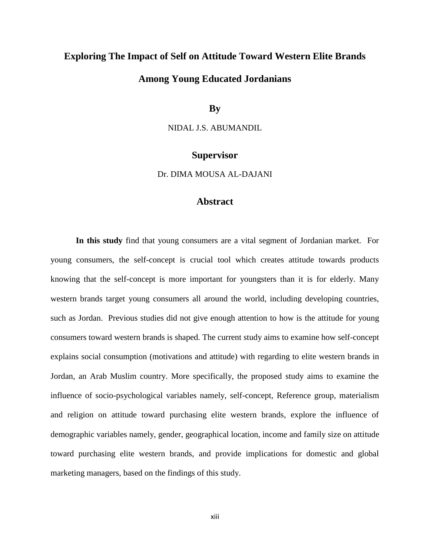## **Exploring The Impact of Self on Attitude Toward Western Elite Brands**

## **Among Young Educated Jordanians**

**By**

NIDAL J.S. ABUMANDIL

## **Supervisor**

Dr. DIMA MOUSA AL-DAJANI

## **Abstract**

**In this study** find that young consumers are a vital segment of Jordanian market. For young consumers, the self-concept is crucial tool which creates attitude towards products knowing that the self-concept is more important for youngsters than it is for elderly. Many western brands target young consumers all around the world, including developing countries, such as Jordan. Previous studies did not give enough attention to how is the attitude for young consumers toward western brands is shaped. The current study aims to examine how self-concept explains social consumption (motivations and attitude) with regarding to elite western brands in Jordan, an Arab Muslim country. More specifically, the proposed study aims to examine the influence of socio-psychological variables namely, self-concept, Reference group, materialism and religion on attitude toward purchasing elite western brands, explore the influence of demographic variables namely, gender, geographical location, income and family size on attitude toward purchasing elite western brands, and provide implications for domestic and global marketing managers, based on the findings of this study.